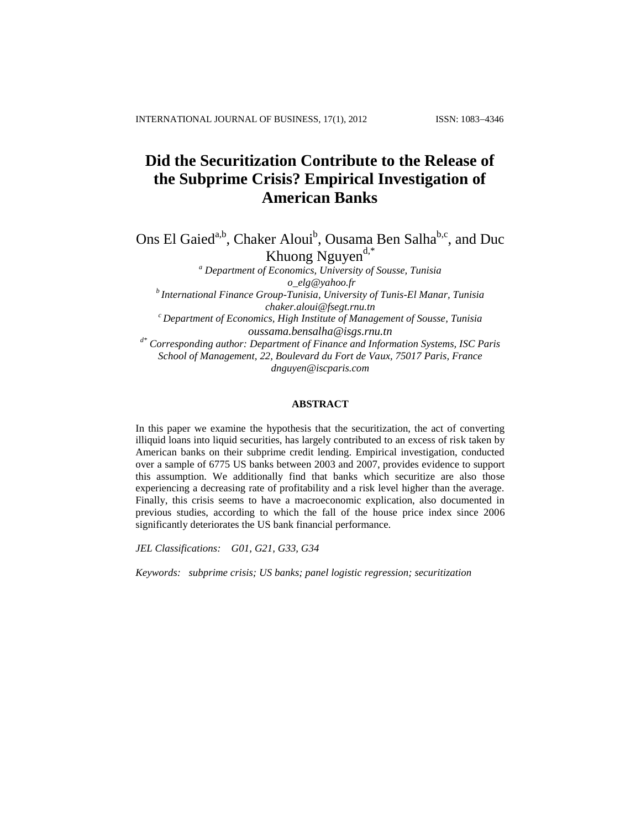# **Did the Securitization Contribute to the Release of the Subprime Crisis? Empirical Investigation of American Banks**

Ons El Gaied<sup>a,b</sup>, Chaker Aloui<sup>b</sup>, Ousama Ben Salha<sup>b,c</sup>, and Duc Khuong Nguyen<sup>d,\*</sup>

*<sup>a</sup> Department of Economics, University of Sousse, Tunisia [o\\_elg@yahoo.fr](mailto:o_elg@yahoo.fr) b International Finance Group-Tunisia, University of Tunis-El Manar, Tunisia [chaker.aloui@fsegt.rnu.tn](mailto:chaker.aloui@fsegt.rnu.tn) <sup>c</sup> Department of Economics, High Institute of Management of Sousse, Tunisia [oussama.bensalha@isgs.rnu.tn](mailto:oussama.bensalha@isgs.rnu.tn) d\* Corresponding author: Department of Finance and Information Systems, ISC Paris School of Management, 22, Boulevard du Fort de Vaux, 75017 Paris, France [dnguyen@iscparis.com](mailto:dnguyen@groupeisc.com)*

### **ABSTRACT**

In this paper we examine the hypothesis that the securitization, the act of converting illiquid loans into liquid securities, has largely contributed to an excess of risk taken by American banks on their subprime credit lending. Empirical investigation, conducted over a sample of 6775 US banks between 2003 and 2007, provides evidence to support this assumption. We additionally find that banks which securitize are also those experiencing a decreasing rate of profitability and a risk level higher than the average. Finally, this crisis seems to have a macroeconomic explication, also documented in previous studies, according to which the fall of the house price index since 2006 significantly deteriorates the US bank financial performance.

*JEL Classifications: G01, G21, G33, G34*

*Keywords: subprime crisis; US banks; panel logistic regression; securitization*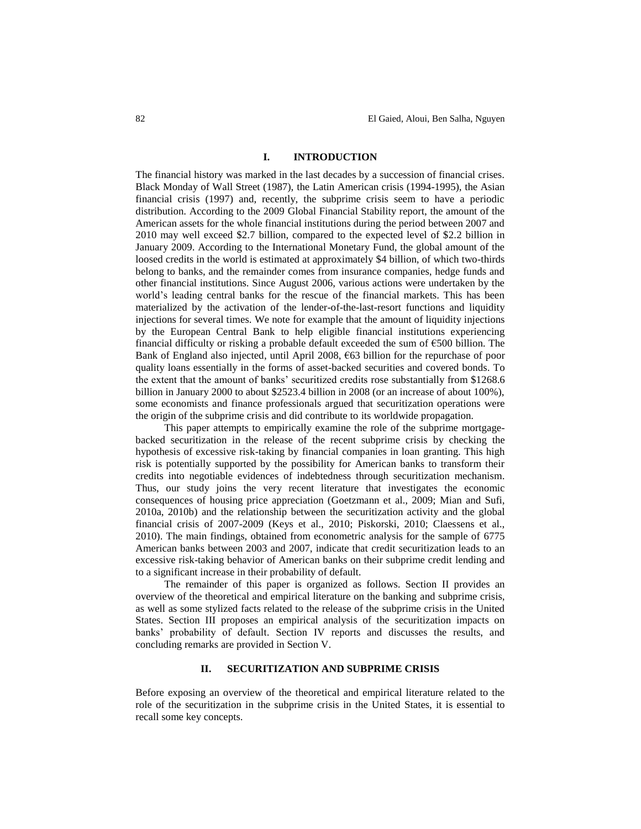#### **I. INTRODUCTION**

The financial history was marked in the last decades by a succession of financial crises. Black Monday of Wall Street (1987), the Latin American crisis (1994-1995), the Asian financial crisis (1997) and, recently, the subprime crisis seem to have a periodic distribution. According to the 2009 Global Financial Stability report, the amount of the American assets for the whole financial institutions during the period between 2007 and 2010 may well exceed \$2.7 billion, compared to the expected level of \$2.2 billion in January 2009. According to the International Monetary Fund, the global amount of the loosed credits in the world is estimated at approximately \$4 billion, of which two-thirds belong to banks, and the remainder comes from insurance companies, hedge funds and other financial institutions. Since August 2006, various actions were undertaken by the world's leading central banks for the rescue of the financial markets. This has been materialized by the activation of the lender-of-the-last-resort functions and liquidity injections for several times. We note for example that the amount of liquidity injections by the European Central Bank to help eligible financial institutions experiencing financial difficulty or risking a probable default exceeded the sum of  $\epsilon$ 500 billion. The Bank of England also injected, until April 2008, €63 billion for the repurchase of poor quality loans essentially in the forms of asset-backed securities and covered bonds. To the extent that the amount of banks' securitized credits rose substantially from \$1268.6 billion in January 2000 to about \$2523.4 billion in 2008 (or an increase of about 100%), some economists and finance professionals argued that securitization operations were the origin of the subprime crisis and did contribute to its worldwide propagation.

This paper attempts to empirically examine the role of the subprime mortgagebacked securitization in the release of the recent subprime crisis by checking the hypothesis of excessive risk-taking by financial companies in loan granting. This high risk is potentially supported by the possibility for American banks to transform their credits into negotiable evidences of indebtedness through securitization mechanism. Thus, our study joins the very recent literature that investigates the economic consequences of housing price appreciation (Goetzmann et al., 2009; Mian and Sufi, 2010a, 2010b) and the relationship between the securitization activity and the global financial crisis of 2007-2009 (Keys et al., 2010; Piskorski, 2010; Claessens et al., 2010). The main findings, obtained from econometric analysis for the sample of 6775 American banks between 2003 and 2007, indicate that credit securitization leads to an excessive risk-taking behavior of American banks on their subprime credit lending and to a significant increase in their probability of default.

The remainder of this paper is organized as follows. Section II provides an overview of the theoretical and empirical literature on the banking and subprime crisis, as well as some stylized facts related to the release of the subprime crisis in the United States. Section III proposes an empirical analysis of the securitization impacts on banks' probability of default. Section IV reports and discusses the results, and concluding remarks are provided in Section V.

#### **II. SECURITIZATION AND SUBPRIME CRISIS**

Before exposing an overview of the theoretical and empirical literature related to the role of the securitization in the subprime crisis in the United States, it is essential to recall some key concepts.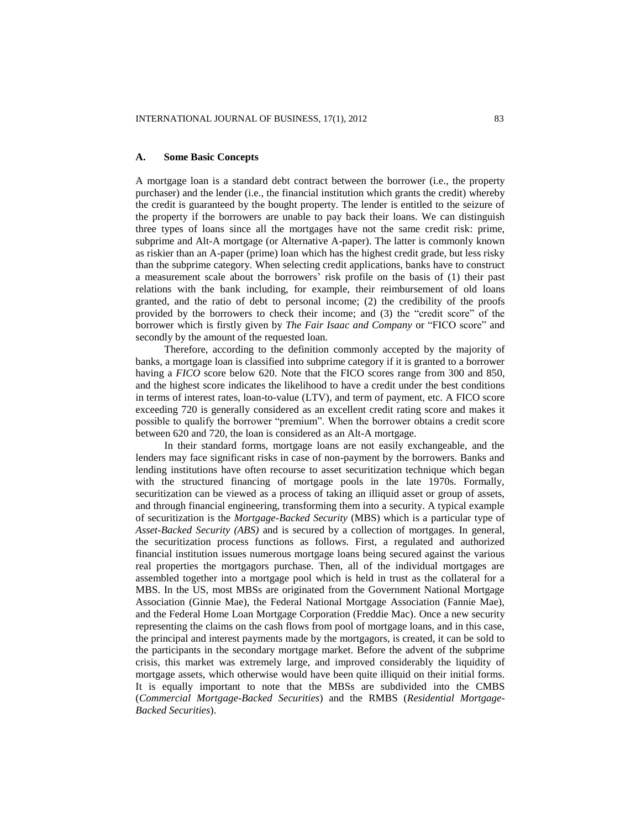#### **A. Some Basic Concepts**

A mortgage loan is a standard debt contract between the borrower (i.e., the property purchaser) and the lender (i.e., the financial institution which grants the credit) whereby the credit is guaranteed by the bought property. The lender is entitled to the seizure of the property if the borrowers are unable to pay back their loans. We can distinguish three types of loans since all the mortgages have not the same credit risk: prime, subprime and Alt-A mortgage (or Alternative A-paper). The latter is commonly known as riskier than an A-paper (prime) loan which has the highest credit grade, but less risky than the subprime category. When selecting credit applications, banks have to construct a measurement scale about the borrowers' risk profile on the basis of (1) their past relations with the bank including, for example, their reimbursement of old loans granted, and the ratio of debt to personal income; (2) the credibility of the proofs provided by the borrowers to check their income; and (3) the "credit score" of the borrower which is firstly given by *The Fair Isaac and Company* or "FICO score" and secondly by the amount of the requested loan.

Therefore, according to the definition commonly accepted by the majority of banks, a mortgage loan is classified into subprime category if it is granted to a borrower having a *FICO* score below 620. Note that the FICO scores range from 300 and 850, and the highest score indicates the likelihood to have a credit under the best conditions in terms of interest rates, loan-to-value (LTV), and term of payment, etc. A FICO score exceeding 720 is generally considered as an excellent credit rating score and makes it possible to qualify the borrower "premium". When the borrower obtains a credit score between 620 and 720, the loan is considered as an Alt-A mortgage.

In their standard forms, mortgage loans are not easily exchangeable, and the lenders may face significant risks in case of non-payment by the borrowers. Banks and lending institutions have often recourse to asset securitization technique which began with the structured financing of mortgage pools in the late 1970s. Formally, securitization can be viewed as a process of taking an illiquid asset or group of assets, and through financial engineering, transforming them into a security. A typical example of securitization is the *Mortgage-Backed Security* (MBS) which is a particular type of *Asset-Backed Security (ABS)* and is secured by a collection of mortgages. In general, the securitization process functions as follows. First, a regulated and authorized financial institution issues numerous mortgage loans being secured against the various real properties the mortgagors purchase. Then, all of the individual mortgages are assembled together into a mortgage pool which is held in trust as the collateral for a MBS. In the US, most MBSs are originated from the Government National Mortgage Association (Ginnie Mae), the Federal National Mortgage Association (Fannie Mae), and the Federal Home Loan Mortgage Corporation (Freddie Mac). Once a new security representing the claims on the cash flows from pool of mortgage loans, and in this case, the principal and interest payments made by the mortgagors, is created, it can be sold to the participants in the secondary mortgage market. Before the advent of the subprime crisis, this market was extremely large, and improved considerably the liquidity of mortgage assets, which otherwise would have been quite illiquid on their initial forms. It is equally important to note that the MBSs are subdivided into the CMBS (*Commercial Mortgage-Backed Securities*) and the RMBS (*Residential Mortgage-Backed Securities*).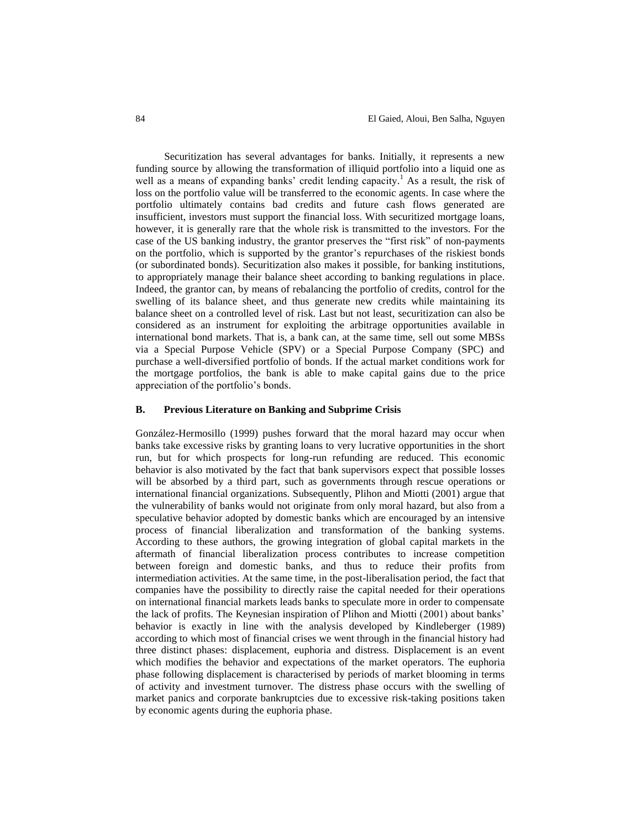Securitization has several advantages for banks. Initially, it represents a new funding source by allowing the transformation of illiquid portfolio into a liquid one as well as a means of expanding banks' credit lending capacity.<sup>1</sup> As a result, the risk of loss on the portfolio value will be transferred to the economic agents. In case where the portfolio ultimately contains bad credits and future cash flows generated are insufficient, investors must support the financial loss. With securitized mortgage loans, however, it is generally rare that the whole risk is transmitted to the investors. For the case of the US banking industry, the grantor preserves the "first risk" of non-payments on the portfolio, which is supported by the grantor's repurchases of the riskiest bonds (or subordinated bonds). Securitization also makes it possible, for banking institutions, to appropriately manage their balance sheet according to banking regulations in place. Indeed, the grantor can, by means of rebalancing the portfolio of credits, control for the swelling of its balance sheet, and thus generate new credits while maintaining its balance sheet on a controlled level of risk. Last but not least, securitization can also be considered as an instrument for exploiting the arbitrage opportunities available in international bond markets. That is, a bank can, at the same time, sell out some MBSs via a Special Purpose Vehicle (SPV) or a Special Purpose Company (SPC) and purchase a well-diversified portfolio of bonds. If the actual market conditions work for the mortgage portfolios, the bank is able to make capital gains due to the price appreciation of the portfolio's bonds.

#### **B. Previous Literature on Banking and Subprime Crisis**

González-Hermosillo (1999) pushes forward that the moral hazard may occur when banks take excessive risks by granting loans to very lucrative opportunities in the short run, but for which prospects for long-run refunding are reduced. This economic behavior is also motivated by the fact that bank supervisors expect that possible losses will be absorbed by a third part, such as governments through rescue operations or international financial organizations. Subsequently, Plihon and Miotti (2001) argue that the vulnerability of banks would not originate from only moral hazard, but also from a speculative behavior adopted by domestic banks which are encouraged by an intensive process of financial liberalization and transformation of the banking systems. According to these authors, the growing integration of global capital markets in the aftermath of financial liberalization process contributes to increase competition between foreign and domestic banks, and thus to reduce their profits from intermediation activities. At the same time, in the post-liberalisation period, the fact that companies have the possibility to directly raise the capital needed for their operations on international financial markets leads banks to speculate more in order to compensate the lack of profits. The Keynesian inspiration of Plihon and Miotti (2001) about banks' behavior is exactly in line with the analysis developed by Kindleberger (1989) according to which most of financial crises we went through in the financial history had three distinct phases: displacement, euphoria and distress. Displacement is an event which modifies the behavior and expectations of the market operators. The euphoria phase following displacement is characterised by periods of market blooming in terms of activity and investment turnover. The distress phase occurs with the swelling of market panics and corporate bankruptcies due to excessive risk-taking positions taken by economic agents during the euphoria phase.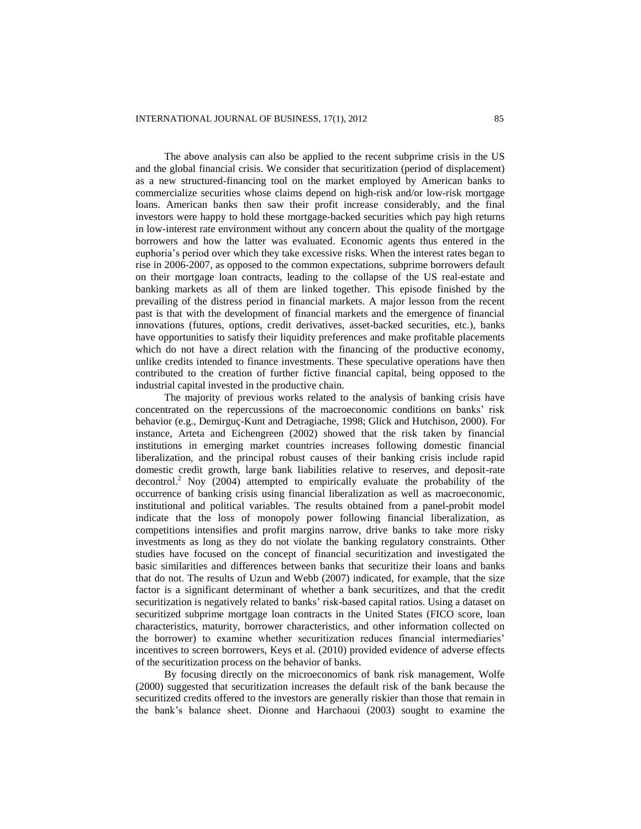The above analysis can also be applied to the recent subprime crisis in the US and the global financial crisis. We consider that securitization (period of displacement) as a new structured-financing tool on the market employed by American banks to commercialize securities whose claims depend on high-risk and/or low-risk mortgage loans. American banks then saw their profit increase considerably, and the final investors were happy to hold these mortgage-backed securities which pay high returns in low-interest rate environment without any concern about the quality of the mortgage borrowers and how the latter was evaluated. Economic agents thus entered in the euphoria's period over which they take excessive risks. When the interest rates began to rise in 2006-2007, as opposed to the common expectations, subprime borrowers default on their mortgage loan contracts, leading to the collapse of the US real-estate and banking markets as all of them are linked together. This episode finished by the prevailing of the distress period in financial markets. A major lesson from the recent past is that with the development of financial markets and the emergence of financial innovations (futures, options, credit derivatives, asset-backed securities, etc.), banks have opportunities to satisfy their liquidity preferences and make profitable placements which do not have a direct relation with the financing of the productive economy, unlike credits intended to finance investments. These speculative operations have then contributed to the creation of further fictive financial capital, being opposed to the industrial capital invested in the productive chain.

The majority of previous works related to the analysis of banking crisis have concentrated on the repercussions of the macroeconomic conditions on banks' risk behavior (e.g., Demirguç-Kunt and Detragiache, 1998; Glick and Hutchison, 2000). For instance, Arteta and Eichengreen (2002) showed that the risk taken by financial institutions in emerging market countries increases following domestic financial liberalization, and the principal robust causes of their banking crisis include rapid domestic credit growth, large bank liabilities relative to reserves, and deposit-rate decontrol. <sup>2</sup> Noy (2004) attempted to empirically evaluate the probability of the occurrence of banking crisis using financial liberalization as well as macroeconomic, institutional and political variables. The results obtained from a panel-probit model indicate that the loss of monopoly power following financial liberalization, as competitions intensifies and profit margins narrow, drive banks to take more risky investments as long as they do not violate the banking regulatory constraints. Other studies have focused on the concept of financial securitization and investigated the basic similarities and differences between banks that securitize their loans and banks that do not. The results of Uzun and Webb (2007) indicated, for example, that the size factor is a significant determinant of whether a bank securitizes, and that the credit securitization is negatively related to banks' risk-based capital ratios. Using a dataset on securitized subprime mortgage loan contracts in the United States (FICO score, loan characteristics, maturity, borrower characteristics, and other information collected on the borrower) to examine whether securitization reduces financial intermediaries' incentives to screen borrowers, Keys et al. (2010) provided evidence of adverse effects of the securitization process on the behavior of banks.

By focusing directly on the microeconomics of bank risk management, Wolfe (2000) suggested that securitization increases the default risk of the bank because the securitized credits offered to the investors are generally riskier than those that remain in the bank's balance sheet. Dionne and Harchaoui (2003) sought to examine the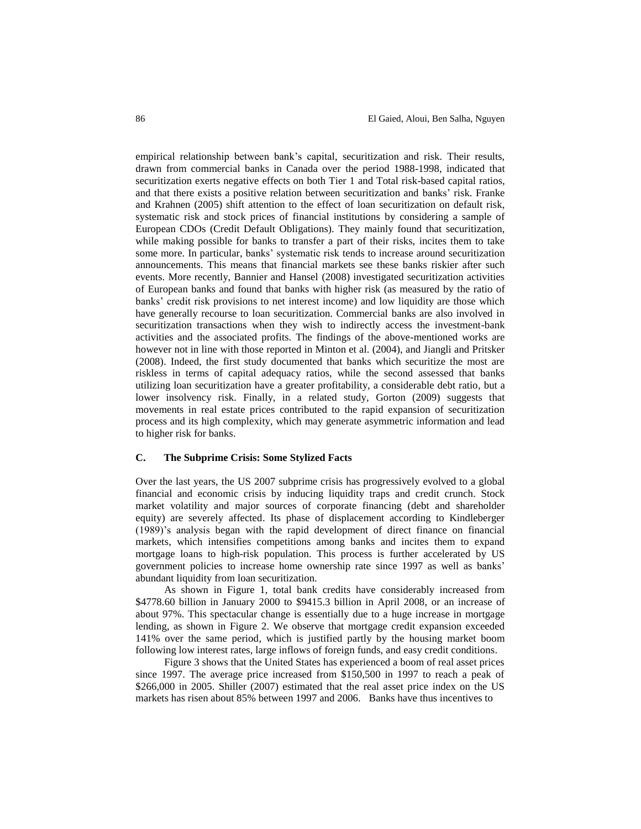empirical relationship between bank's capital, securitization and risk. Their results, drawn from commercial banks in Canada over the period 1988-1998, indicated that securitization exerts negative effects on both Tier 1 and Total risk-based capital ratios, and that there exists a positive relation between securitization and banks' risk. Franke and Krahnen (2005) shift attention to the effect of loan securitization on default risk, systematic risk and stock prices of financial institutions by considering a sample of European CDOs (Credit Default Obligations). They mainly found that securitization, while making possible for banks to transfer a part of their risks, incites them to take some more. In particular, banks' systematic risk tends to increase around securitization announcements. This means that financial markets see these banks riskier after such events. More recently, Bannier and Hansel (2008) investigated securitization activities of European banks and found that banks with higher risk (as measured by the ratio of banks' credit risk provisions to net interest income) and low liquidity are those which have generally recourse to loan securitization. Commercial banks are also involved in securitization transactions when they wish to indirectly access the investment-bank activities and the associated profits. The findings of the above-mentioned works are however not in line with those reported in Minton et al. (2004), and Jiangli and Pritsker (2008). Indeed, the first study documented that banks which securitize the most are riskless in terms of capital adequacy ratios, while the second assessed that banks utilizing loan securitization have a greater profitability, a considerable debt ratio, but a lower insolvency risk. Finally, in a related study, Gorton (2009) suggests that movements in real estate prices contributed to the rapid expansion of securitization process and its high complexity, which may generate asymmetric information and lead to higher risk for banks.

#### **C. The Subprime Crisis: Some Stylized Facts**

Over the last years, the US 2007 subprime crisis has progressively evolved to a global financial and economic crisis by inducing liquidity traps and credit crunch. Stock market volatility and major sources of corporate financing (debt and shareholder equity) are severely affected. Its phase of displacement according to Kindleberger (1989)'s analysis began with the rapid development of direct finance on financial markets, which intensifies competitions among banks and incites them to expand mortgage loans to high-risk population. This process is further accelerated by US government policies to increase home ownership rate since 1997 as well as banks' abundant liquidity from loan securitization.

As shown in Figure 1, total bank credits have considerably increased from \$4778.60 billion in January 2000 to \$9415.3 billion in April 2008, or an increase of about 97%. This spectacular change is essentially due to a huge increase in mortgage lending, as shown in Figure 2. We observe that mortgage credit expansion exceeded 141% over the same period, which is justified partly by the housing market boom following low interest rates, large inflows of foreign funds, and easy credit conditions.

Figure 3 shows that the United States has experienced a boom of real asset prices since 1997. The average price increased from \$150,500 in 1997 to reach a peak of \$266,000 in 2005. Shiller (2007) estimated that the real asset price index on the US markets has risen about 85% between 1997 and 2006. Banks have thus incentives to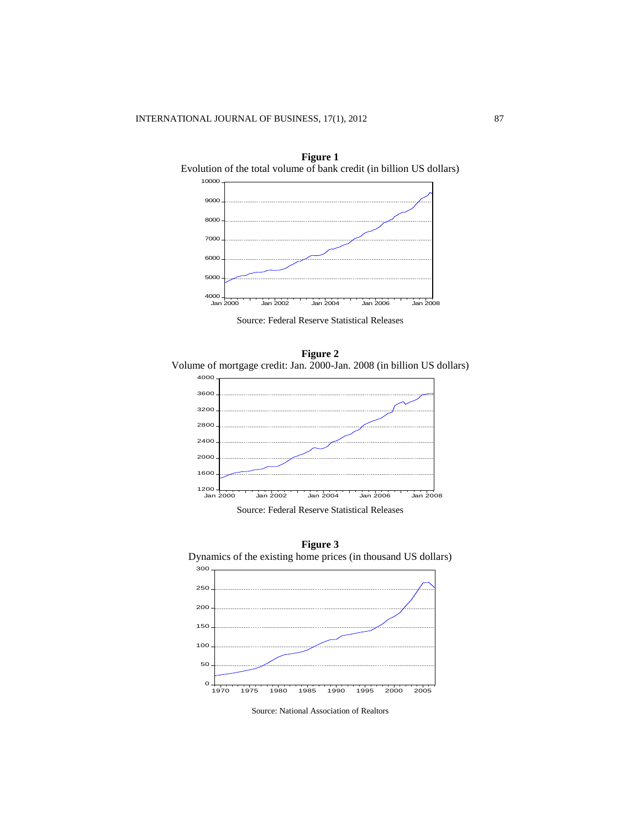

**Figure 1**

Source: Federal Reserve Statistical Releases

**Figure 2** Volume of mortgage credit: Jan. 2000-Jan. 2008 (in billion US dollars)



**Figure 3** Dynamics of the existing home prices (in thousand US dollars) 



Source: National Association of Realtors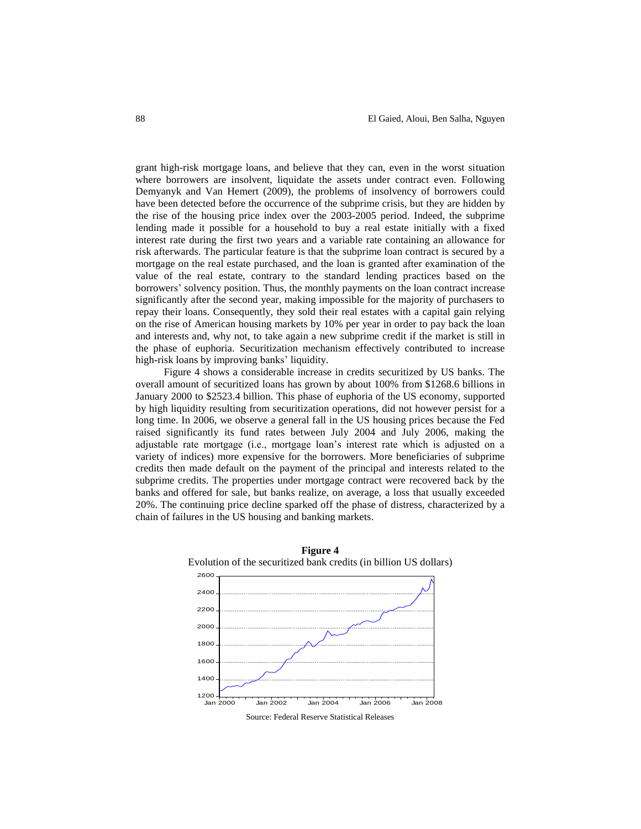grant high-risk mortgage loans, and believe that they can, even in the worst situation where borrowers are insolvent, liquidate the assets under contract even. Following Demyanyk and Van Hemert (2009), the problems of insolvency of borrowers could have been detected before the occurrence of the subprime crisis, but they are hidden by the rise of the housing price index over the 2003-2005 period. Indeed, the subprime lending made it possible for a household to buy a real estate initially with a fixed interest rate during the first two years and a variable rate containing an allowance for risk afterwards. The particular feature is that the subprime loan contract is secured by a mortgage on the real estate purchased, and the loan is granted after examination of the value of the real estate, contrary to the standard lending practices based on the borrowers' solvency position. Thus, the monthly payments on the loan contract increase significantly after the second year, making impossible for the majority of purchasers to repay their loans. Consequently, they sold their real estates with a capital gain relying on the rise of American housing markets by 10% per year in order to pay back the loan and interests and, why not, to take again a new subprime credit if the market is still in the phase of euphoria. Securitization mechanism effectively contributed to increase high-risk loans by improving banks' liquidity.

Figure 4 shows a considerable increase in credits securitized by US banks. The overall amount of securitized loans has grown by about 100% from \$1268.6 billions in January 2000 to \$2523.4 billion. This phase of euphoria of the US economy, supported by high liquidity resulting from securitization operations, did not however persist for a long time. In 2006, we observe a general fall in the US housing prices because the Fed raised significantly its fund rates between July 2004 and July 2006, making the adjustable rate mortgage (i.e., mortgage loan's interest rate which is adjusted on a variety of indices) more expensive for the borrowers. More beneficiaries of subprime credits then made default on the payment of the principal and interests related to the subprime credits. The properties under mortgage contract were recovered back by the banks and offered for sale, but banks realize, on average, a loss that usually exceeded 20%. The continuing price decline sparked off the phase of distress, characterized by a chain of failures in the US housing and banking markets.



Source: Federal Reserve Statistical Releases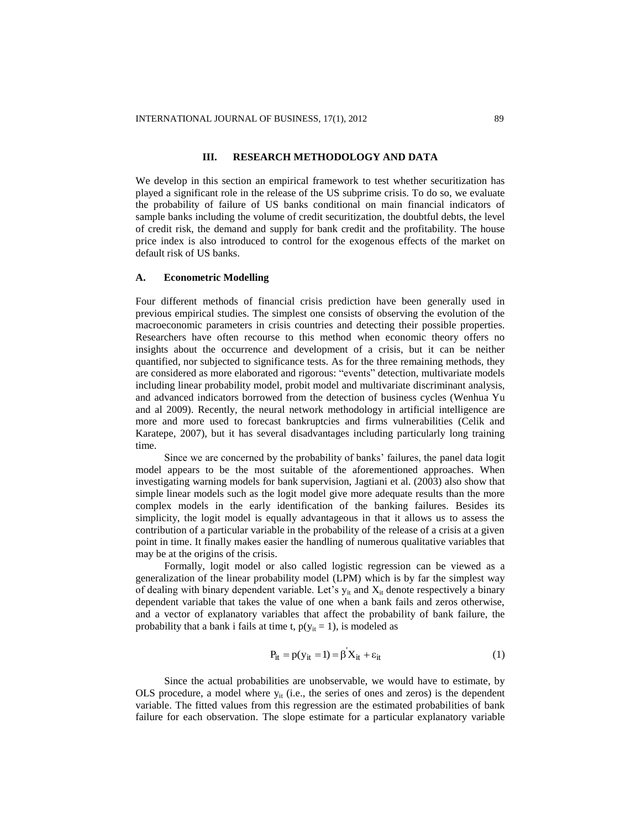#### **III. RESEARCH METHODOLOGY AND DATA**

We develop in this section an empirical framework to test whether securitization has played a significant role in the release of the US subprime crisis. To do so, we evaluate the probability of failure of US banks conditional on main financial indicators of sample banks including the volume of credit securitization, the doubtful debts, the level of credit risk, the demand and supply for bank credit and the profitability. The house price index is also introduced to control for the exogenous effects of the market on default risk of US banks.

#### **A. Econometric Modelling**

Four different methods of financial crisis prediction have been generally used in previous empirical studies. The simplest one consists of observing the evolution of the macroeconomic parameters in crisis countries and detecting their possible properties. Researchers have often recourse to this method when economic theory offers no insights about the occurrence and development of a crisis, but it can be neither quantified, nor subjected to significance tests. As for the three remaining methods, they are considered as more elaborated and rigorous: "events" detection, multivariate models including linear probability model, probit model and multivariate discriminant analysis, and advanced indicators borrowed from the detection of business cycles (Wenhua Yu and al 2009). Recently, the neural network methodology in artificial intelligence are more and more used to forecast bankruptcies and firms vulnerabilities (Celik and Karatepe, 2007), but it has several disadvantages including particularly long training time.

Since we are concerned by the probability of banks' failures, the panel data logit model appears to be the most suitable of the aforementioned approaches. When investigating warning models for bank supervision, Jagtiani et al. (2003) also show that simple linear models such as the logit model give more adequate results than the more complex models in the early identification of the banking failures. Besides its simplicity, the logit model is equally advantageous in that it allows us to assess the contribution of a particular variable in the probability of the release of a crisis at a given point in time. It finally makes easier the handling of numerous qualitative variables that may be at the origins of the crisis.

Formally, logit model or also called logistic regression can be viewed as a generalization of the linear probability model (LPM) which is by far the simplest way of dealing with binary dependent variable. Let's  $y_{it}$  and  $X_{it}$  denote respectively a binary dependent variable that takes the value of one when a bank fails and zeros otherwise, and a vector of explanatory variables that affect the probability of bank failure, the probability that a bank i fails at time t,  $p(y_{it} = 1)$ , is modeled as

$$
P_{it} = p(y_{it} = 1) = \beta X_{it} + \varepsilon_{it}
$$
 (1)

Since the actual probabilities are unobservable, we would have to estimate, by OLS procedure, a model where  $y_{it}$  (i.e., the series of ones and zeros) is the dependent variable. The fitted values from this regression are the estimated probabilities of bank failure for each observation. The slope estimate for a particular explanatory variable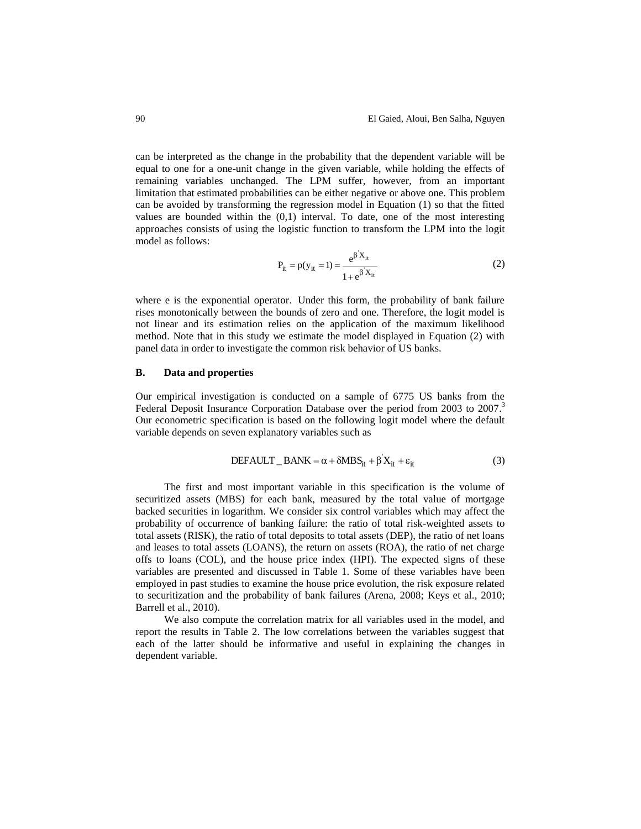can be interpreted as the change in the probability that the dependent variable will be equal to one for a one-unit change in the given variable, while holding the effects of remaining variables unchanged. The LPM suffer, however, from an important limitation that estimated probabilities can be either negative or above one. This problem can be avoided by transforming the regression model in Equation (1) so that the fitted values are bounded within the  $(0,1)$  interval. To date, one of the most interesting approaches consists of using the logistic function to transform the LPM into the logit model as follows:

$$
P_{it} = p(y_{it} = 1) = \frac{e^{\beta X_{it}}}{1 + e^{\beta X_{it}}} \tag{2}
$$

where e is the exponential operator. Under this form, the probability of bank failure rises monotonically between the bounds of zero and one. Therefore, the logit model is not linear and its estimation relies on the application of the maximum likelihood method. Note that in this study we estimate the model displayed in Equation (2) with panel data in order to investigate the common risk behavior of US banks.

#### **B. Data and properties**

Our empirical investigation is conducted on a sample of 6775 US banks from the Federal Deposit Insurance Corporation Database over the period from 2003 to 2007.<sup>3</sup> Our econometric specification is based on the following logit model where the default variable depends on seven explanatory variables such as

$$
DEFAULT_BANK = \alpha + \delta MBS_{it} + \beta'X_{it} + \varepsilon_{it}
$$
 (3)

The first and most important variable in this specification is the volume of securitized assets (MBS) for each bank, measured by the total value of mortgage backed securities in logarithm. We consider six control variables which may affect the probability of occurrence of banking failure: the ratio of total risk-weighted assets to total assets (RISK), the ratio of total deposits to total assets (DEP), the ratio of net loans and leases to total assets (LOANS), the return on assets (ROA), the ratio of net charge offs to loans (COL), and the house price index (HPI). The expected signs of these variables are presented and discussed in Table 1. Some of these variables have been employed in past studies to examine the house price evolution, the risk exposure related to securitization and the probability of bank failures (Arena, 2008; Keys et al., 2010; Barrell et al., 2010).

We also compute the correlation matrix for all variables used in the model, and report the results in Table 2. The low correlations between the variables suggest that each of the latter should be informative and useful in explaining the changes in dependent variable.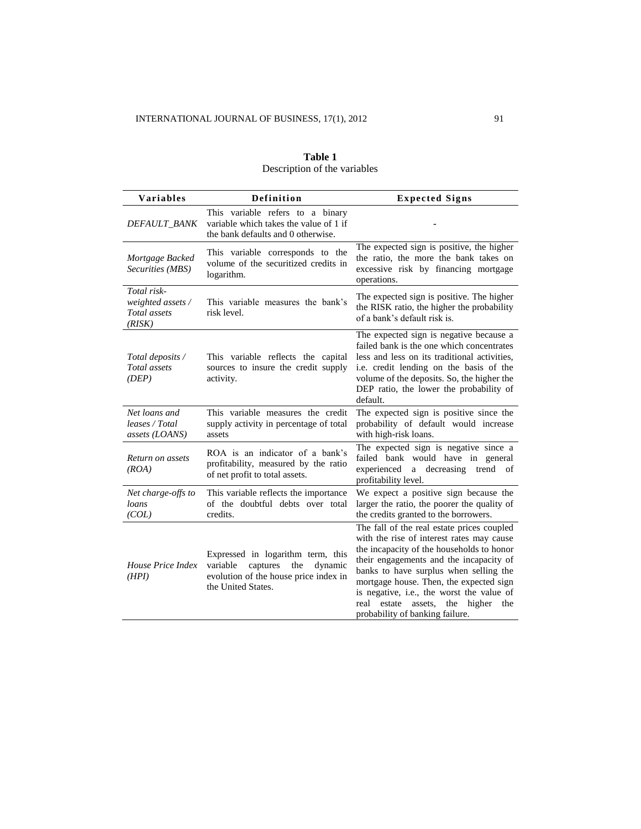| <b>Variables</b>                                           | Definition                                                                                                                                 | <b>Expected Signs</b>                                                                                                                                                                                                                                                                                                                                                                                     |  |  |
|------------------------------------------------------------|--------------------------------------------------------------------------------------------------------------------------------------------|-----------------------------------------------------------------------------------------------------------------------------------------------------------------------------------------------------------------------------------------------------------------------------------------------------------------------------------------------------------------------------------------------------------|--|--|
| DEFAULT_BANK                                               | This variable refers to a binary<br>variable which takes the value of 1 if<br>the bank defaults and 0 otherwise.                           |                                                                                                                                                                                                                                                                                                                                                                                                           |  |  |
| Mortgage Backed<br>Securities (MBS)                        | This variable corresponds to the<br>volume of the securitized credits in<br>logarithm.                                                     | The expected sign is positive, the higher<br>the ratio, the more the bank takes on<br>excessive risk by financing mortgage<br>operations.                                                                                                                                                                                                                                                                 |  |  |
| Total risk-<br>weighted assets /<br>Total assets<br>(RISK) | This variable measures the bank's<br>risk level.                                                                                           | The expected sign is positive. The higher<br>the RISK ratio, the higher the probability<br>of a bank's default risk is.                                                                                                                                                                                                                                                                                   |  |  |
| Total deposits /<br>Total assets<br>(DEP)                  | This variable reflects the capital<br>sources to insure the credit supply<br>activity.                                                     | The expected sign is negative because a<br>failed bank is the one which concentrates<br>less and less on its traditional activities,<br>i.e. credit lending on the basis of the<br>volume of the deposits. So, the higher the<br>DEP ratio, the lower the probability of<br>default.                                                                                                                      |  |  |
| Net loans and<br>leases / Total<br>assets (LOANS)          | This variable measures the credit<br>supply activity in percentage of total<br>assets                                                      | The expected sign is positive since the<br>probability of default would increase<br>with high-risk loans.                                                                                                                                                                                                                                                                                                 |  |  |
| Return on assets<br>(ROA)                                  | ROA is an indicator of a bank's<br>profitability, measured by the ratio<br>of net profit to total assets.                                  | The expected sign is negative since a<br>failed bank would have in general<br>experienced<br>decreasing<br>trend of<br>$\mathbf{a}$<br>profitability level.                                                                                                                                                                                                                                               |  |  |
| Net charge-offs to<br>loans<br>(COL)                       | This variable reflects the importance<br>of the doubtful debts over total<br>credits.                                                      | We expect a positive sign because the<br>larger the ratio, the poorer the quality of<br>the credits granted to the borrowers.                                                                                                                                                                                                                                                                             |  |  |
| House Price Index<br>(HPI)                                 | Expressed in logarithm term, this<br>variable<br>captures<br>the<br>dynamic<br>evolution of the house price index in<br>the United States. | The fall of the real estate prices coupled<br>with the rise of interest rates may cause<br>the incapacity of the households to honor<br>their engagements and the incapacity of<br>banks to have surplus when selling the<br>mortgage house. Then, the expected sign<br>is negative, i.e., the worst the value of<br>estate<br>assets,<br>the<br>higher<br>real<br>the<br>probability of banking failure. |  |  |

## **Table 1** Description of the variables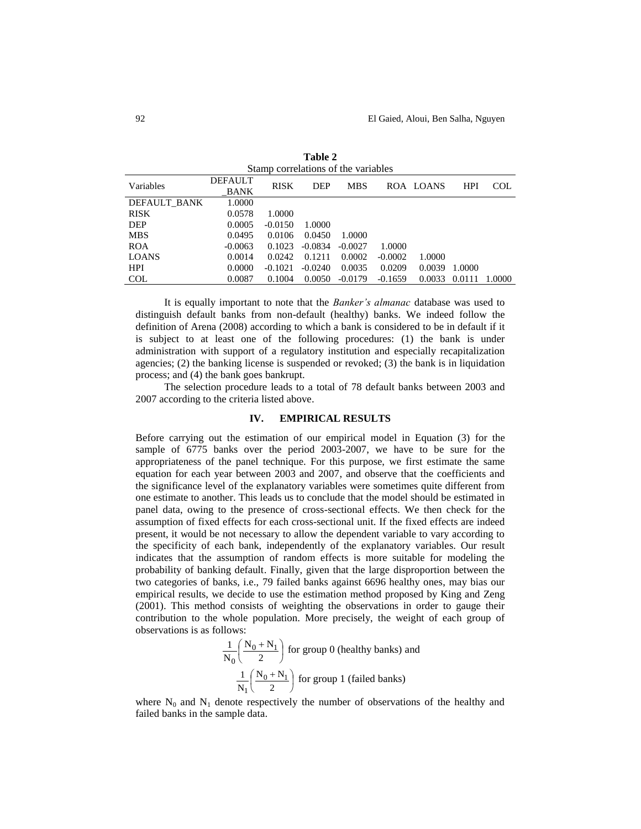| Stamp correlations of the variables |                               |             |            |            |           |           |            |            |  |
|-------------------------------------|-------------------------------|-------------|------------|------------|-----------|-----------|------------|------------|--|
| Variables                           | <b>DEFAULT</b><br><b>BANK</b> | <b>RISK</b> | <b>DEP</b> | <b>MBS</b> |           | ROA LOANS | <b>HPI</b> | <b>COL</b> |  |
| DEFAULT BANK                        | 1.0000                        |             |            |            |           |           |            |            |  |
| <b>RISK</b>                         | 0.0578                        | 1.0000      |            |            |           |           |            |            |  |
| <b>DEP</b>                          | 0.0005                        | $-0.0150$   | 1.0000     |            |           |           |            |            |  |
| <b>MBS</b>                          | 0.0495                        | 0.0106      | 0.0450     | 1.0000     |           |           |            |            |  |
| <b>ROA</b>                          | $-0.0063$                     | 0.1023      | $-0.0834$  | $-0.0027$  | 1.0000    |           |            |            |  |
| <b>LOANS</b>                        | 0.0014                        | 0.0242      | 0.1211     | 0.0002     | $-0.0002$ | 1.0000    |            |            |  |
| <b>HPI</b>                          | 0.0000                        | $-0.1021$   | $-0.0240$  | 0.0035     | 0.0209    | 0.0039    | 1.0000     |            |  |
| <b>COL</b>                          | 0.0087                        | 0.1004      | 0.0050     | $-0.0179$  | $-0.1659$ | 0.0033    | 0.0111     | 1.0000     |  |

**Table 2**

It is equally important to note that the *Banker's almanac* database was used to distinguish default banks from non-default (healthy) banks. We indeed follow the definition of Arena (2008) according to which a bank is considered to be in default if it is subject to at least one of the following procedures: (1) the bank is under administration with support of a regulatory institution and especially recapitalization agencies; (2) the banking license is suspended or revoked; (3) the bank is in liquidation process; and (4) the bank goes bankrupt.

The selection procedure leads to a total of 78 default banks between 2003 and 2007 according to the criteria listed above.

#### **IV. EMPIRICAL RESULTS**

Before carrying out the estimation of our empirical model in Equation (3) for the sample of 6775 banks over the period 2003-2007, we have to be sure for the appropriateness of the panel technique. For this purpose, we first estimate the same equation for each year between 2003 and 2007, and observe that the coefficients and the significance level of the explanatory variables were sometimes quite different from one estimate to another. This leads us to conclude that the model should be estimated in panel data, owing to the presence of cross-sectional effects. We then check for the assumption of fixed effects for each cross-sectional unit. If the fixed effects are indeed present, it would be not necessary to allow the dependent variable to vary according to the specificity of each bank, independently of the explanatory variables. Our result indicates that the assumption of random effects is more suitable for modeling the probability of banking default. Finally, given that the large disproportion between the two categories of banks, i.e., 79 failed banks against 6696 healthy ones, may bias our empirical results, we decide to use the estimation method proposed by King and Zeng (2001). This method consists of weighting the observations in order to gauge their contribution to the whole population. More precisely, the weight of each group of observations is as follows:

$$
\frac{1}{N_0} \left( \frac{N_0 + N_1}{2} \right)
$$
 for group 0 (healthy banks) and  

$$
\frac{1}{N_1} \left( \frac{N_0 + N_1}{2} \right)
$$
 for group 1 (failed banks)

where  $N_0$  and  $N_1$  denote respectively the number of observations of the healthy and failed banks in the sample data.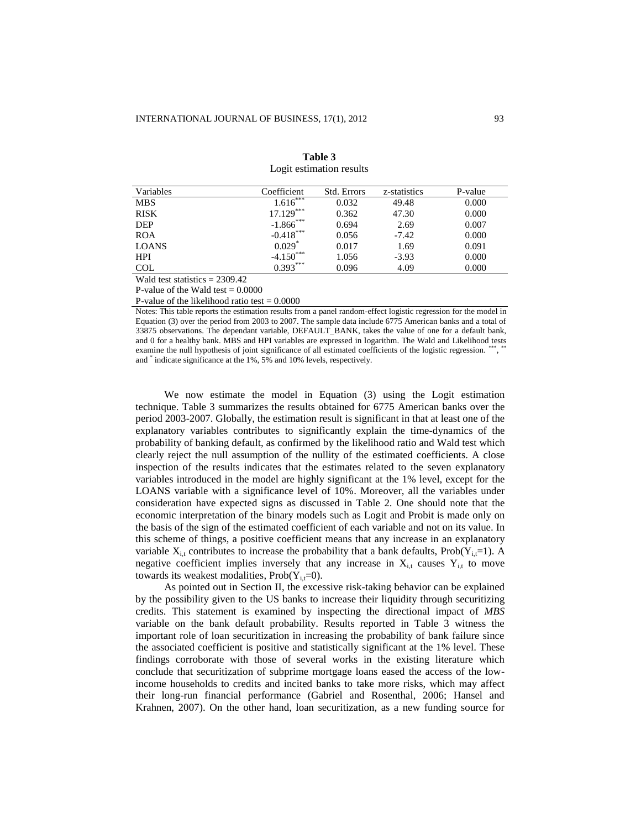| Variables                                 | Coefficient   | <b>Std. Errors</b> | z-statistics | P-value |
|-------------------------------------------|---------------|--------------------|--------------|---------|
| <b>MBS</b>                                | ,***<br>1.616 | 0.032              | 49.48        | 0.000   |
| <b>RISK</b>                               | $17.129***$   | 0.362              | 47.30        | 0.000   |
| <b>DEP</b>                                | $-1.866$ ***  | 0.694              | 2.69         | 0.007   |
| <b>ROA</b>                                | $-0.418***$   | 0.056              | $-7.42$      | 0.000   |
| <b>LOANS</b>                              | $0.029*$      | 0.017              | 1.69         | 0.091   |
| <b>HPI</b>                                | $-4.150***$   | 1.056              | $-3.93$      | 0.000   |
| <b>COL</b>                                | $0.393***$    | 0.096              | 4.09         | 0.000   |
| $W_{\alpha}$ ld toot statistics – 2200.42 |               |                    |              |         |

**Table 3** Logit estimation results

Wald test statistics = 2309.42

P-value of the Wald test  $= 0.0000$ 

P-value of the likelihood ratio test  $= 0.0000$ 

Notes: This table reports the estimation results from a panel random-effect logistic regression for the model in Equation (3) over the period from 2003 to 2007. The sample data include 6775 American banks and a total of 33875 observations. The dependant variable, DEFAULT\_BANK, takes the value of one for a default bank, and 0 for a healthy bank. MBS and HPI variables are expressed in logarithm. The Wald and Likelihood tests examine the null hypothesis of joint significance of all estimated coefficients of the logistic regression. \*\*\*, \*\* and \* indicate significance at the 1%, 5% and 10% levels, respectively.

We now estimate the model in Equation (3) using the Logit estimation technique. Table 3 summarizes the results obtained for 6775 American banks over the period 2003-2007. Globally, the estimation result is significant in that at least one of the explanatory variables contributes to significantly explain the time-dynamics of the probability of banking default, as confirmed by the likelihood ratio and Wald test which clearly reject the null assumption of the nullity of the estimated coefficients. A close inspection of the results indicates that the estimates related to the seven explanatory variables introduced in the model are highly significant at the 1% level, except for the LOANS variable with a significance level of 10%. Moreover, all the variables under consideration have expected signs as discussed in Table 2. One should note that the economic interpretation of the binary models such as Logit and Probit is made only on the basis of the sign of the estimated coefficient of each variable and not on its value. In this scheme of things, a positive coefficient means that any increase in an explanatory variable  $X_{i,t}$  contributes to increase the probability that a bank defaults, Prob( $Y_{i,t}=1$ ). A negative coefficient implies inversely that any increase in  $X_{i,t}$  causes  $Y_{i,t}$  to move towards its weakest modalities,  $Prob(Y_{i,t}=0)$ .

As pointed out in Section II, the excessive risk-taking behavior can be explained by the possibility given to the US banks to increase their liquidity through securitizing credits. This statement is examined by inspecting the directional impact of *MBS* variable on the bank default probability. Results reported in Table 3 witness the important role of loan securitization in increasing the probability of bank failure since the associated coefficient is positive and statistically significant at the 1% level. These findings corroborate with those of several works in the existing literature which conclude that securitization of subprime mortgage loans eased the access of the lowincome households to credits and incited banks to take more risks, which may affect their long-run financial performance (Gabriel and Rosenthal, 2006; Hansel and Krahnen, 2007). On the other hand, loan securitization, as a new funding source for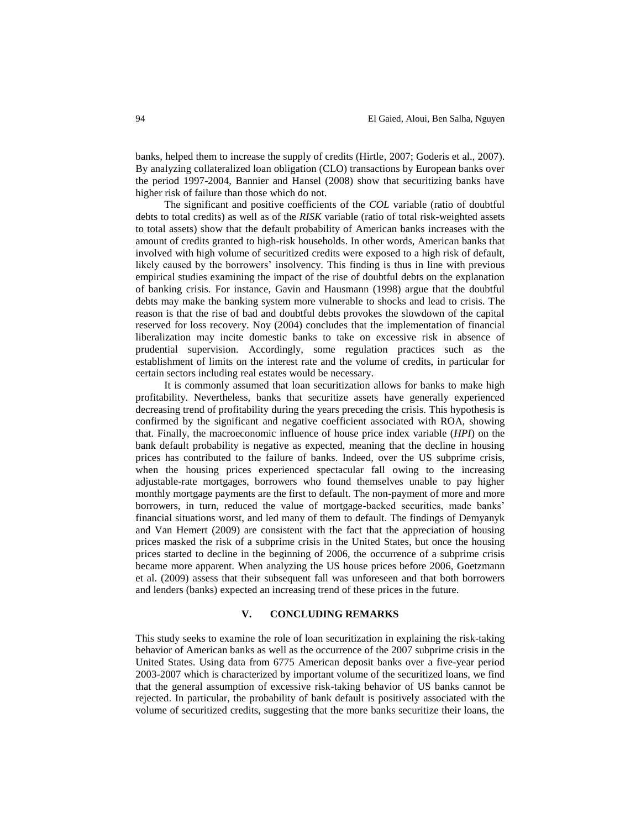banks, helped them to increase the supply of credits (Hirtle, 2007; Goderis et al., 2007). By analyzing collateralized loan obligation (CLO) transactions by European banks over the period 1997-2004, Bannier and Hansel (2008) show that securitizing banks have higher risk of failure than those which do not.

The significant and positive coefficients of the *COL* variable (ratio of doubtful debts to total credits) as well as of the *RISK* variable (ratio of total risk-weighted assets to total assets) show that the default probability of American banks increases with the amount of credits granted to high-risk households. In other words, American banks that involved with high volume of securitized credits were exposed to a high risk of default, likely caused by the borrowers' insolvency. This finding is thus in line with previous empirical studies examining the impact of the rise of doubtful debts on the explanation of banking crisis. For instance, Gavin and Hausmann (1998) argue that the doubtful debts may make the banking system more vulnerable to shocks and lead to crisis. The reason is that the rise of bad and doubtful debts provokes the slowdown of the capital reserved for loss recovery. Noy (2004) concludes that the implementation of financial liberalization may incite domestic banks to take on excessive risk in absence of prudential supervision. Accordingly, some regulation practices such as the establishment of limits on the interest rate and the volume of credits, in particular for certain sectors including real estates would be necessary.

It is commonly assumed that loan securitization allows for banks to make high profitability. Nevertheless, banks that securitize assets have generally experienced decreasing trend of profitability during the years preceding the crisis. This hypothesis is confirmed by the significant and negative coefficient associated with ROA, showing that. Finally, the macroeconomic influence of house price index variable (*HPI*) on the bank default probability is negative as expected, meaning that the decline in housing prices has contributed to the failure of banks. Indeed, over the US subprime crisis, when the housing prices experienced spectacular fall owing to the increasing adjustable-rate mortgages, borrowers who found themselves unable to pay higher monthly mortgage payments are the first to default. The non-payment of more and more borrowers, in turn, reduced the value of mortgage-backed securities, made banks' financial situations worst, and led many of them to default. The findings of Demyanyk and Van Hemert (2009) are consistent with the fact that the appreciation of housing prices masked the risk of a subprime crisis in the United States, but once the housing prices started to decline in the beginning of 2006, the occurrence of a subprime crisis became more apparent. When analyzing the US house prices before 2006, Goetzmann et al. (2009) assess that their subsequent fall was unforeseen and that both borrowers and lenders (banks) expected an increasing trend of these prices in the future.

#### **V. CONCLUDING REMARKS**

This study seeks to examine the role of loan securitization in explaining the risk-taking behavior of American banks as well as the occurrence of the 2007 subprime crisis in the United States. Using data from 6775 American deposit banks over a five-year period 2003-2007 which is characterized by important volume of the securitized loans, we find that the general assumption of excessive risk-taking behavior of US banks cannot be rejected. In particular, the probability of bank default is positively associated with the volume of securitized credits, suggesting that the more banks securitize their loans, the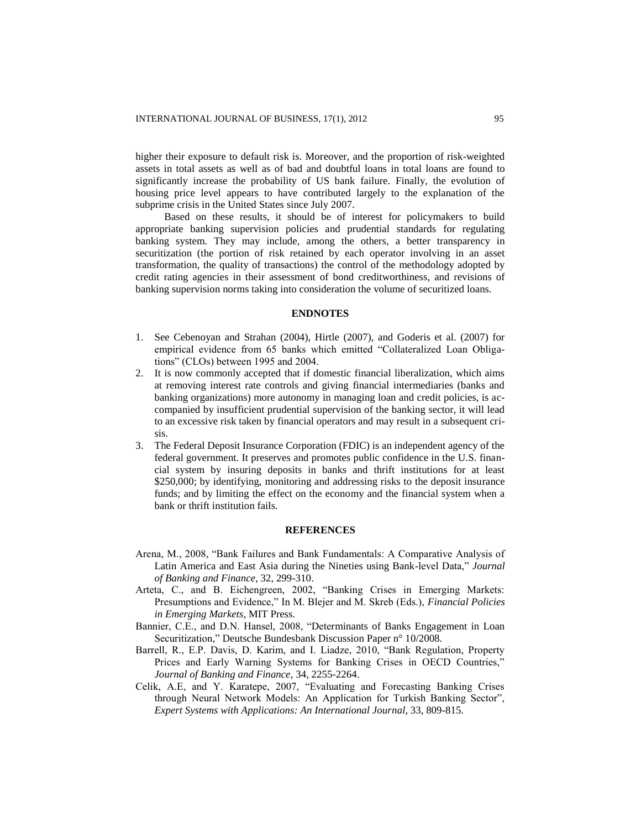higher their exposure to default risk is. Moreover, and the proportion of risk-weighted assets in total assets as well as of bad and doubtful loans in total loans are found to significantly increase the probability of US bank failure. Finally, the evolution of housing price level appears to have contributed largely to the explanation of the subprime crisis in the United States since July 2007.

Based on these results, it should be of interest for policymakers to build appropriate banking supervision policies and prudential standards for regulating banking system. They may include, among the others, a better transparency in securitization (the portion of risk retained by each operator involving in an asset transformation, the quality of transactions) the control of the methodology adopted by credit rating agencies in their assessment of bond creditworthiness, and revisions of banking supervision norms taking into consideration the volume of securitized loans.

#### **ENDNOTES**

- 1. See Cebenoyan and Strahan (2004), Hirtle (2007), and Goderis et al. (2007) for empirical evidence from 65 banks which emitted "Collateralized Loan Obligations" (CLOs) between 1995 and 2004.
- 2. It is now commonly accepted that if domestic financial liberalization, which aims at removing interest rate controls and giving financial intermediaries (banks and banking organizations) more autonomy in managing loan and credit policies, is accompanied by insufficient prudential supervision of the banking sector, it will lead to an excessive risk taken by financial operators and may result in a subsequent crisis.
- 3. The Federal Deposit Insurance Corporation (FDIC) is an independent agency of the federal government. It preserves and promotes public confidence in the U.S. financial system by insuring deposits in banks and thrift institutions for at least \$250,000; by identifying, monitoring and addressing risks to the deposit insurance funds; and by limiting the effect on the economy and the financial system when a bank or thrift institution fails.

#### **REFERENCES**

- Arena, M., 2008, "Bank Failures and Bank Fundamentals: A Comparative Analysis of Latin America and East Asia during the Nineties using Bank-level Data," *Journal of Banking and Finance*, 32, 299-310.
- Arteta, C., and B. Eichengreen, 2002, "Banking Crises in Emerging Markets: Presumptions and Evidence," In M. Blejer and M. Skreb (Eds.), *Financial Policies in Emerging Markets*, MIT Press.
- Bannier, C.E., and D.N. Hansel, 2008, "Determinants of Banks Engagement in Loan Securitization," Deutsche Bundesbank Discussion Paper n° 10/2008.
- Barrell, R., E.P. Davis, D. Karim, and I. Liadze, 2010, "Bank Regulation, Property Prices and Early Warning Systems for Banking Crises in OECD Countries," *Journal of Banking and Finance*, 34, 2255-2264.
- Celik, A.E, and Y. Karatepe, 2007, "Evaluating and Forecasting Banking Crises through Neural Network Models: An Application for Turkish Banking Sector", *Expert Systems with Applications: An International Journal*, 33, 809-815.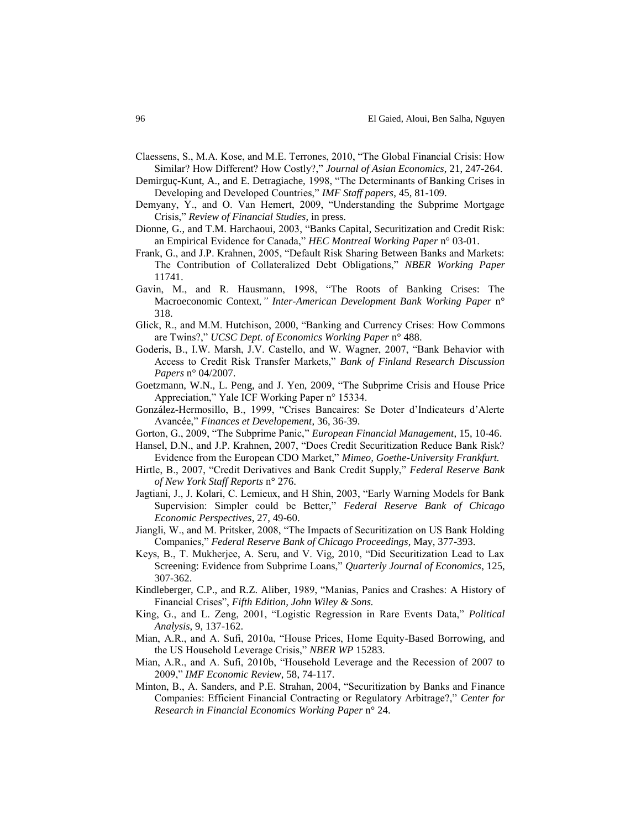- Claessens, S., M.A. Kose, and M.E. Terrones, 2010, "The Global Financial Crisis: How Similar? How Different? How Costly?," *Journal of Asian Economics*, 21, 247-264.
- Demirguç-Kunt, A., and E. Detragiache, 1998, "The Determinants of Banking Crises in Developing and Developed Countries," *IMF Staff papers*, 45, 81-109.
- Demyany, Y., and O. Van Hemert, 2009, "Understanding the Subprime Mortgage Crisis," *Review of Financial Studies*, in press.
- Dionne, G., and T.M. Harchaoui, 2003, "Banks Capital, Securitization and Credit Risk: an Empirical Evidence for Canada," *HEC Montreal Working Paper* n° 03-01.
- Frank, G., and J.P. Krahnen, 2005, "Default Risk Sharing Between Banks and Markets: The Contribution of Collateralized Debt Obligations," *NBER Working Paper* 11741.
- Gavin, M., and R. Hausmann, 1998, "The Roots of Banking Crises: The Macroeconomic Context*," Inter-American Development Bank Working Paper* n° 318.
- Glick, R., and M.M. Hutchison, 2000, "Banking and Currency Crises: How Commons are Twins?," *UCSC Dept. of Economics Working Paper* n° 488.
- Goderis, B., I.W. Marsh, J.V. Castello, and W. Wagner, 2007, "Bank Behavior with Access to Credit Risk Transfer Markets," *Bank of Finland Research Discussion Papers* n° 04/2007.
- Goetzmann, W.N., L. Peng, and J. Yen, 2009, "The Subprime Crisis and House Price Appreciation," Yale ICF Working Paper n° 15334.
- González-Hermosillo, B., 1999, "Crises Bancaires: Se Doter d'Indicateurs d'Alerte Avancée," *Finances et Developement*, 36, 36-39.
- Gorton, G., 2009, "The Subprime Panic," *European Financial Management*, 15, 10-46.
- Hansel, D.N., and J.P. Krahnen, 2007, "Does Credit Securitization Reduce Bank Risk? Evidence from the European CDO Market," *Mimeo, Goethe-University Frankfurt.*
- Hirtle, B., 2007, "Credit Derivatives and Bank Credit Supply," *Federal Reserve Bank of New York Staff Reports* n° 276.
- Jagtiani, J., J. Kolari, C. Lemieux, and H Shin, 2003, "Early Warning Models for Bank Supervision: Simpler could be Better," *Federal Reserve Bank of Chicago Economic Perspectives*, 27, 49-60.
- Jiangli, W., and M. Pritsker, 2008, "The Impacts of Securitization on US Bank Holding Companies," *Federal Reserve Bank of Chicago Proceedings*, May, 377-393.
- Keys, B., T. Mukherjee, A. Seru, and V. Vig, 2010, "Did Securitization Lead to Lax Screening: Evidence from Subprime Loans," *Quarterly Journal of Economics*, 125, 307-362.
- Kindleberger, C.P., and R.Z. Aliber, 1989, "Manias, Panics and Crashes: A History of Financial Crises", *Fifth Edition, John Wiley & Sons.*
- King, G., and L. Zeng, 2001, "Logistic Regression in Rare Events Data," *Political Analysis*, 9, 137-162.
- Mian, A.R., and A. Sufi, 2010a, "House Prices, Home Equity-Based Borrowing, and the US Household Leverage Crisis," *NBER WP* 15283.
- Mian, A.R., and A. Sufi, 2010b, "Household Leverage and the Recession of 2007 to 2009," *IMF Economic Review*, 58, 74-117.
- Minton, B., A. Sanders, and P.E. Strahan, 2004, "Securitization by Banks and Finance Companies: Efficient Financial Contracting or Regulatory Arbitrage?," *Center for Research in Financial Economics Working Paper* n° 24.